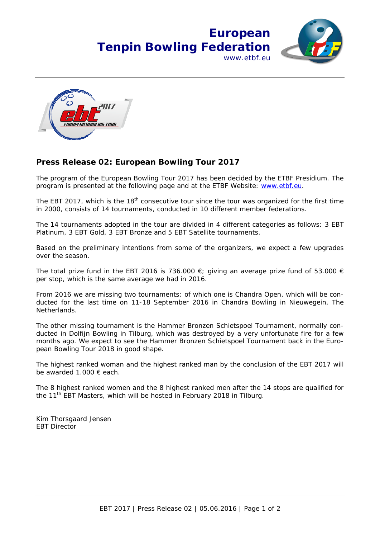



## **Press Release 02: European Bowling Tour 2017**

The program of the European Bowling Tour 2017 has been decided by the ETBF Presidium. The program is presented at the following page and at the ETBF Website: www.etbf.eu.

The EBT 2017, which is the 18<sup>th</sup> consecutive tour since the tour was organized for the first time in 2000, consists of 14 tournaments, conducted in 10 different member federations.

The 14 tournaments adopted in the tour are divided in 4 different categories as follows: 3 EBT Platinum, 3 EBT Gold, 3 EBT Bronze and 5 EBT Satellite tournaments.

Based on the preliminary intentions from some of the organizers, we expect a few upgrades over the season.

The total prize fund in the EBT 2016 is 736.000  $\epsilon$ ; giving an average prize fund of 53.000  $\epsilon$ per stop, which is the same average we had in 2016.

From 2016 we are missing two tournaments; of which one is Chandra Open, which will be conducted for the last time on 11-18 September 2016 in Chandra Bowling in Nieuwegein, The Netherlands.

The other missing tournament is the Hammer Bronzen Schietspoel Tournament, normally conducted in Dolfijn Bowling in Tilburg, which was destroyed by a very unfortunate fire for a few months ago. We expect to see the Hammer Bronzen Schietspoel Tournament back in the European Bowling Tour 2018 in good shape.

The highest ranked woman and the highest ranked man by the conclusion of the EBT 2017 will be awarded 1.000 € each.

The 8 highest ranked women and the 8 highest ranked men after the 14 stops are qualified for the 11<sup>th</sup> EBT Masters, which will be hosted in February 2018 in Tilburg.

Kim Thorsgaard Jensen EBT Director